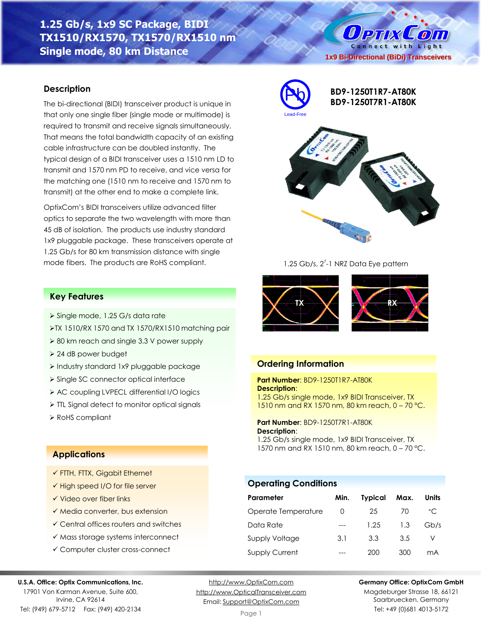# **1.25 Gb/s, 1x9 SC Package, BIDI TX1510/RX1570, TX1570/RX1510 nm Single mode, 80 km Distance**

## **Description**

The bi-directional (BIDI) transceiver product is unique in that only one single fiber (single mode or multimode) is required to transmit and receive signals simultaneously. That means the total bandwidth capacity of an existing cable infrastructure can be doubled instantly. The typical design of a BIDI transceiver uses a 1510 nm LD to transmit and 1570 nm PD to receive, and vice versa for the matching one (1510 nm to receive and 1570 nm to transmit) at the other end to make a complete link.

OptixCom's BIDI transceivers utilize advanced filter optics to separate the two wavelength with more than 45 dB of isolation. The products use industry standard 1x9 pluggable package. These transceivers operate at 1.25 Gb/s for 80 km transmission distance with single mode fibers. The products are RoHS compliant.



**BD9-1250T1R7-AT80K BD9-1250T7R1-AT80K**

**1x9 Bi-Directional (BiDi) Transceivers**

O PTIX COM Connect with Light



1.25 Gb/s, 2<sup>7</sup>-1 NRZ Data Eye pattern



## **Ordering Information**

**Part Number**: BD9-1250T1R7-AT80K **Description**: 1.25 Gb/s single mode, 1x9 BIDI Transceiver, TX 1510 nm and RX 1570 nm, 80 km reach, 0 – 70 °C.

**Part Number**: BD9-1250T7R1-AT80K **Description**:

1.25 Gb/s single mode, 1x9 BIDI Transceiver, TX 1570 nm and RX 1510 nm, 80 km reach, 0 – 70 °C.

## **Operating Conditions**

| Parameter             | Min.             | <b>Typical</b> | Max. | <b>Units</b> |
|-----------------------|------------------|----------------|------|--------------|
| Operate Temperature   | $\left( \right)$ | 25             | 70   | $^{\circ}$ C |
| Data Rate             |                  | 1.25           | 1.3  | Gb/s         |
| <b>Supply Voltage</b> | 3.1              | 3.3            | 3.5  |              |
| <b>Supply Current</b> |                  | 200            | 300  | mA           |



17901 Von Karman Avenue, Suite 600, Irvine, CA 92614 Tel: (949) 679-5712 Fax: (949) 420-2134

[http://www.OptixCom.com](http://www.optixcom.com/) [http://www.OpticalTransceiver.com](http://www.optoictech.com/) Email: [Support@OptixCom.com](mailto:Support@optoICtech.com)

Page 1

#### **Germany Office: OptixCom GmbH**

Magdeburger Strasse 18, 66121 Saarbruecken, Germany Tel: +49 (0)681 4013-5172

## **Key Features**

- ➢ Single mode, 1.25 G/s data rate
- ➢TX 1510/RX 1570 and TX 1570/RX1510 matching pair
- ➢ 80 km reach and single 3.3 V power supply
- ➢ 24 dB power budget
- ➢ Industry standard 1x9 pluggable package
- ➢ Single SC connector optical interface
- ➢ AC coupling LVPECL differential I/O logics
- ➢ TTL Signal detect to monitor optical signals
- ➢ RoHS compliant

## **Applications**

- ✓ FTTH, FTTX, Gigabit Ethernet
- ✓ High speed I/O for file server
- ✓ Video over fiber links
- ✓ Media converter, bus extension
- ✓ Central offices routers and switches
- ✓ Mass storage systems interconnect
- ✓ Computer cluster cross-connect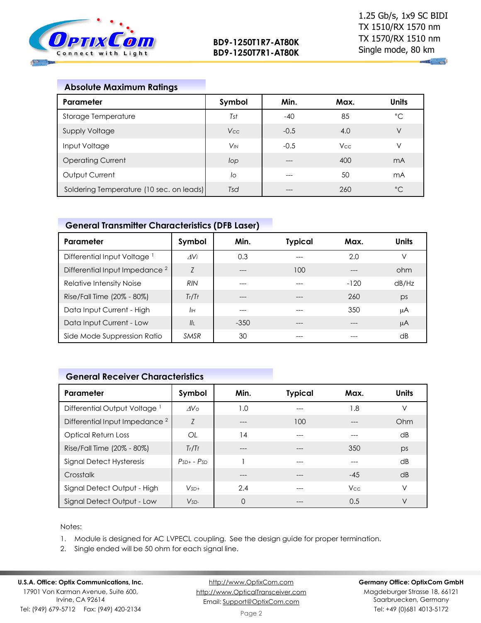

 $\mathbf{u}_1$  and

| <b>Absolute Maximum Ratings</b>          |                       |        |            |              |
|------------------------------------------|-----------------------|--------|------------|--------------|
| Parameter                                | Symbol                | Min.   | Max.       | <b>Units</b> |
| Storage Temperature                      | Tst                   | $-40$  | 85         | °C           |
| <b>Supply Voltage</b>                    | Vcc                   | $-0.5$ | 4.0        | V            |
| Input Voltage                            | <b>V<sub>IN</sub></b> | $-0.5$ | <b>Vcc</b> | V            |
| <b>Operating Current</b>                 | lop                   |        | 400        | mA           |
| Output Current                           | lo                    |        | 50         | mA           |
| Soldering Temperature (10 sec. on leads) | Tsd                   |        | 260        | $^{\circ}C$  |

## **General Transmitter Characteristics (DFB Laser)**

| Parameter                                 | Symbol         | Min.   | <b>Typical</b> | Max.   | Units |
|-------------------------------------------|----------------|--------|----------------|--------|-------|
| Differential Input Voltage <sup>1</sup>   | AVi            | 0.3    |                | 2.0    |       |
| Differential Input Impedance <sup>2</sup> | $\overline{7}$ |        | 100            |        | ohm   |
| Relative Intensity Noise                  | <b>RIN</b>     |        |                | $-120$ | dB/Hz |
| Rise/Fall Time (20% - 80%)                | Tr/Tr          |        |                | 260    | ps    |
| Data Input Current - High                 | IІн            |        |                | 350    | μA    |
| Data Input Current - Low                  | $\mathbf{II}$  | $-350$ |                |        | μA    |
| Side Mode Suppression Ratio               | <b>SMSR</b>    | 30     |                |        | dB    |

## **General Receiver Characteristics**

| Parameter                                 | Symbol          | Min.     | <b>Typical</b> | Max.       | <b>Units</b> |
|-------------------------------------------|-----------------|----------|----------------|------------|--------------|
| Differential Output Voltage <sup>1</sup>  | AV <sub>0</sub> | 1.0      | ---            | 1.8        | ٧            |
| Differential Input Impedance <sup>2</sup> | $\overline{7}$  | ---      | 100            |            | Ohm          |
| <b>Optical Return Loss</b>                | OL              | 14       | ---            |            | dB           |
| Rise/Fall Time (20% - 80%)                | Tr/Tf           | $---$    | ---            | 350        | ps           |
| Signal Detect Hysteresis                  | $PsD + - PSD$   |          | ---            |            | dB           |
| Crosstalk                                 |                 | ---      | ---            | $-45$      | dB           |
| Signal Detect Output - High               | $V_{SD+}$       | 2.4      |                | <b>Vcc</b> | $\vee$       |
| Signal Detect Output - Low                | $VSD-$          | $\Omega$ |                | 0.5        | ٧            |

#### Notes:

- 1. Module is designed for AC LVPECL coupling. See the design guide for proper termination.
- 2. Single ended will be 50 ohm for each signal line.

#### **U.S.A. Office: Optix Communications, Inc.** 17901 Von Karman Avenue, Suite 600, Irvine, CA 92614 Tel: (949) 679-5712 Fax: (949) 420-2134

[http://www.OptixCom.com](http://www.optixcom.com/) [http://www.OpticalTransceiver.com](http://www.optoictech.com/) Email: [Support@OptixCom.com](mailto:Support@optoICtech.com)

### **Germany Office: OptixCom GmbH**

Magdeburger Strasse 18, 66121 Saarbruecken, Germany Tel: +49 (0)681 4013-5172